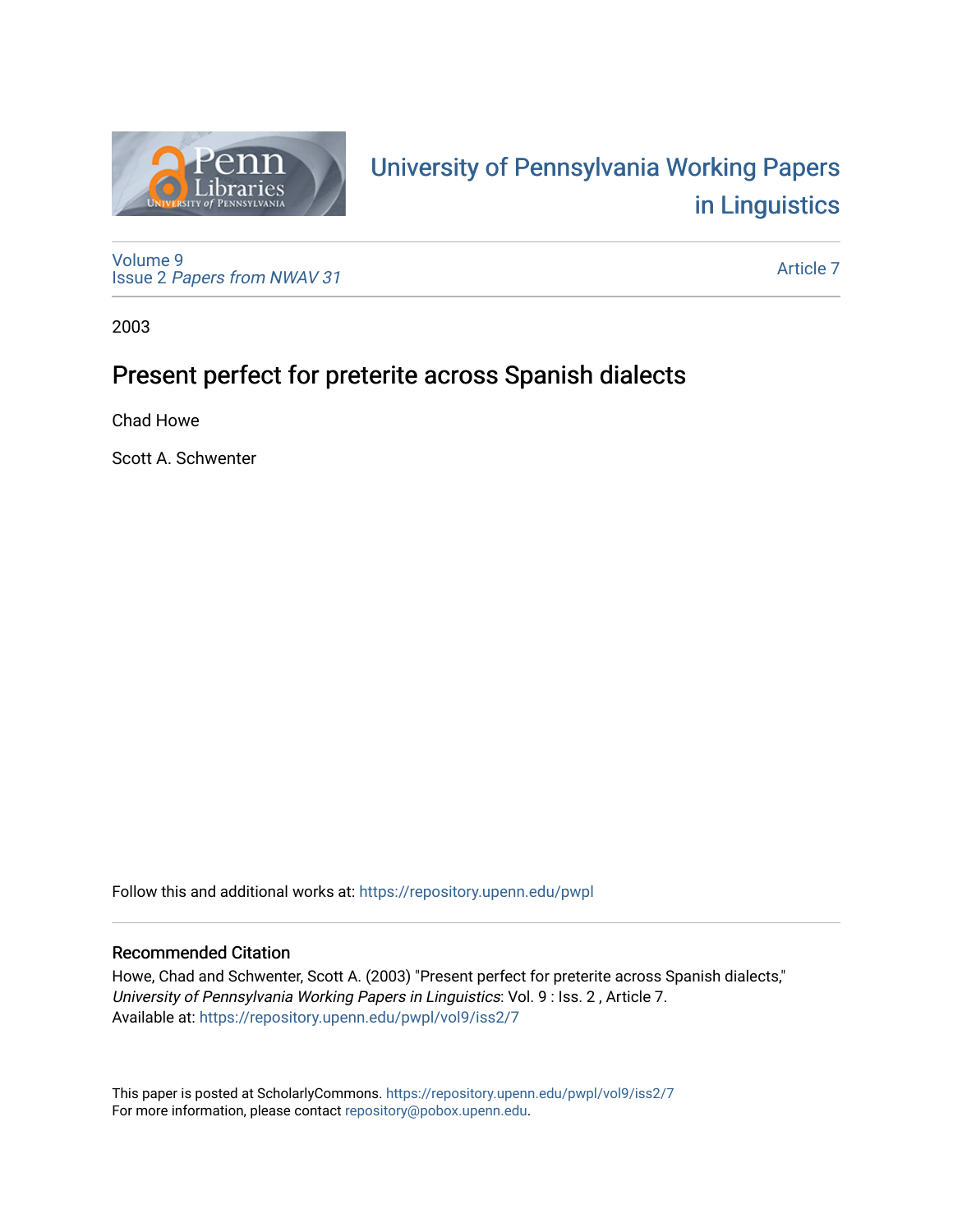

# University of P[ennsylvania Working P](https://repository.upenn.edu/pwpl)apers [in Linguistics](https://repository.upenn.edu/pwpl)

[Volume 9](https://repository.upenn.edu/pwpl/vol9) Issue 2 [Papers from NWAV 31](https://repository.upenn.edu/pwpl/vol9/iss2)

[Article 7](https://repository.upenn.edu/pwpl/vol9/iss2/7) 

2003

## Present perfect for preterite across Spanish dialects

Chad Howe

Scott A. Schwenter

Follow this and additional works at: [https://repository.upenn.edu/pwpl](https://repository.upenn.edu/pwpl?utm_source=repository.upenn.edu%2Fpwpl%2Fvol9%2Fiss2%2F7&utm_medium=PDF&utm_campaign=PDFCoverPages) 

### Recommended Citation

Howe, Chad and Schwenter, Scott A. (2003) "Present perfect for preterite across Spanish dialects," University of Pennsylvania Working Papers in Linguistics: Vol. 9 : Iss. 2 , Article 7. Available at: [https://repository.upenn.edu/pwpl/vol9/iss2/7](https://repository.upenn.edu/pwpl/vol9/iss2/7?utm_source=repository.upenn.edu%2Fpwpl%2Fvol9%2Fiss2%2F7&utm_medium=PDF&utm_campaign=PDFCoverPages) 

This paper is posted at ScholarlyCommons.<https://repository.upenn.edu/pwpl/vol9/iss2/7> For more information, please contact [repository@pobox.upenn.edu.](mailto:repository@pobox.upenn.edu)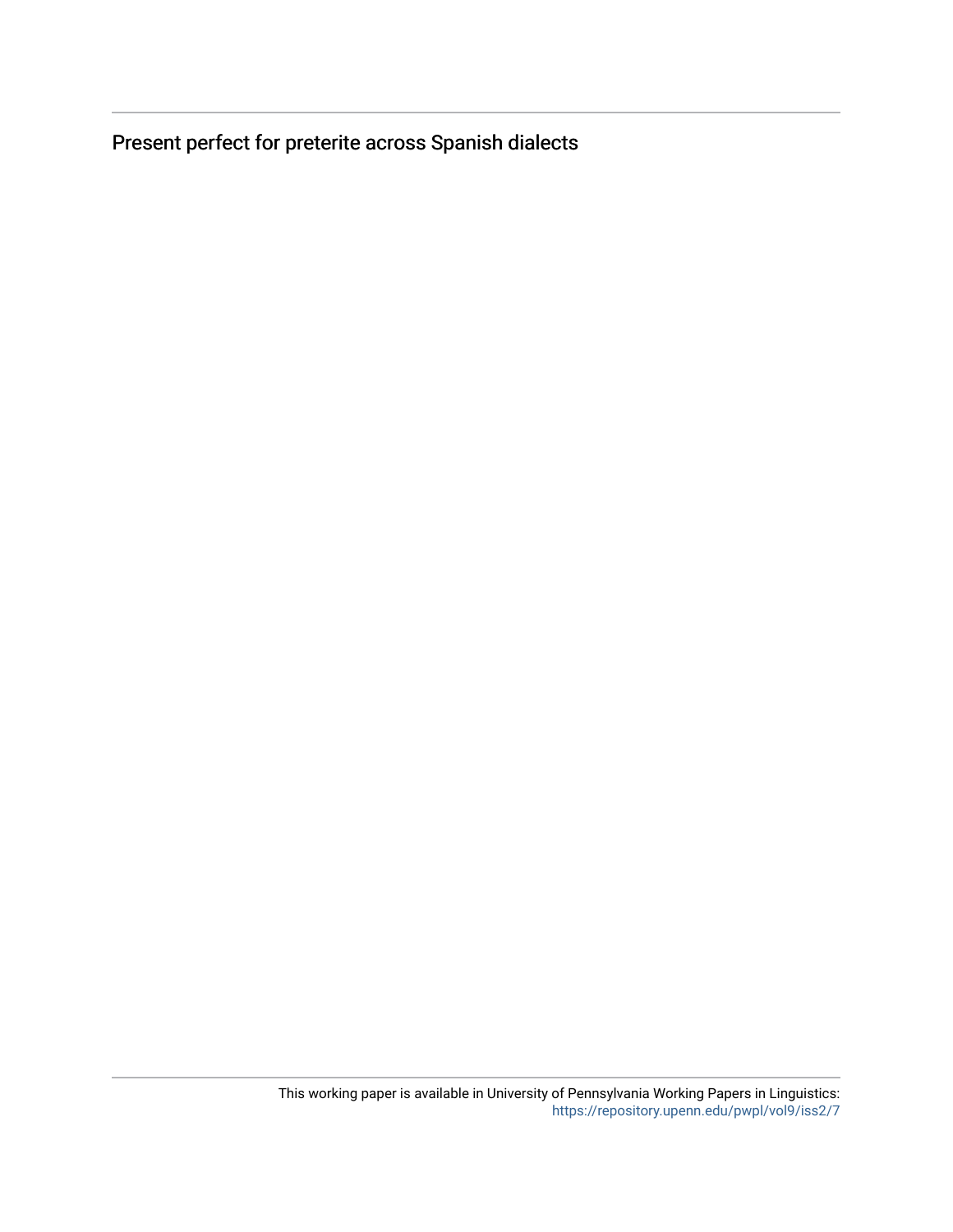Present perfect for preterite across Spanish dialects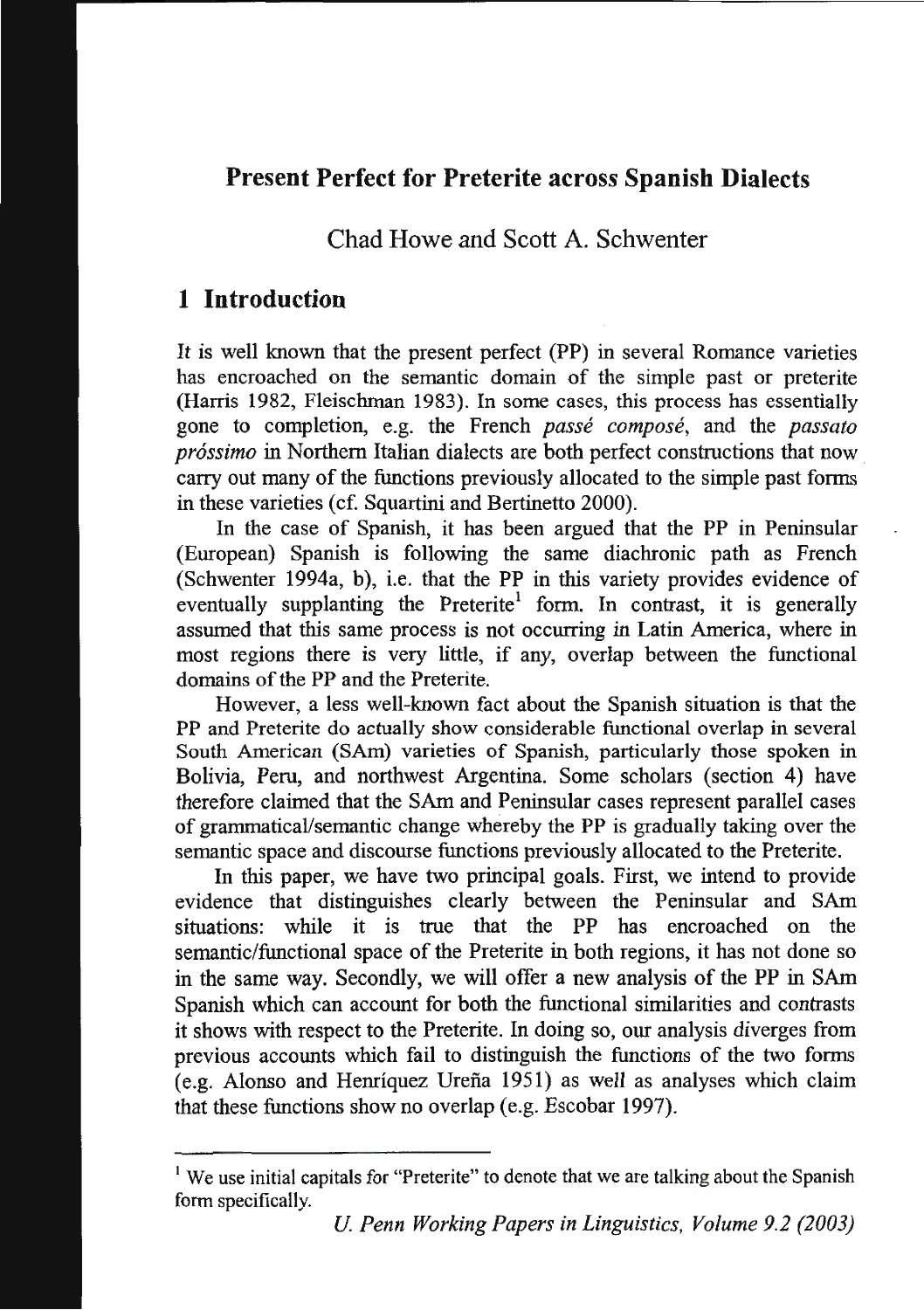## **Present Perfect for Preterite across Spanish Dialects**

Chad Howe and Scott A. Schwenter

## **1 Introduction**

It is well known that the present perfect (PP) in several Romance varieties has encroached on the semantic domain of the simple past or preterite (Harris 1982, Fleischman 1983). In some cases, this process has essentially gone to completion, e.g. the French *passe compose,* and the *passato pr6ssimo* in Northern Italian dialects are both perfect constructions that now carry out many of the functions previously allocated to the simple past forms in these varieties ( cf. Squartini and Bertinetto 2000).

In the case of Spanish, it has been argued that the PP in Peninsular (European) Spanish is following the same diachronic path as French (Schwenter 1994a, b), i.e. that the PP in this variety provides evidence of eventually supplanting the Preterite<sup>1</sup> form. In contrast, it is generally assumed that this same process is not occurring in Latin America, where in most regions there is very little, if any, overlap between the functional domains of the PP and the Preterite.

However, a less well-known fact about the Spanish situation is that the PP and Preterite do actually show considerable functional overlap in several South American (SAm) varieties of Spanish, particularly those spoken in Bolivia, Peru, and northwest Argentina. Some scholars (section 4) have therefore claimed that the SAm and Peninsular cases represent parallel cases of grammatical/semantic change whereby the PP is gradually taking over the semantic space and discourse functions previously allocated to the Preterite.

In this paper, we have two principal goals. First, we intend to provide evidence that distinguishes clearly between the Peninsular and SAm situations: while it is true that the PP has encroached on the semantic/functional space of the Preterite in both regions, it has not done so in the same way. Secondly, we will offer a new analysis of the PP in SAm Spanish which can account for both the functional similarities and contrasts it shows with respect to the Preterite. In doing so, our analysis diverges from previous accounts which fail to distinguish the functions of the two forms (e.g. Alonso and Henriquez Urena 1951) as well as analyses which claim that these functions show no overlap (e.g. Escobar 1997).

<sup>&</sup>lt;sup>1</sup> We use initial capitals for "Preterite" to denote that we are talking about the Spanish form specifically.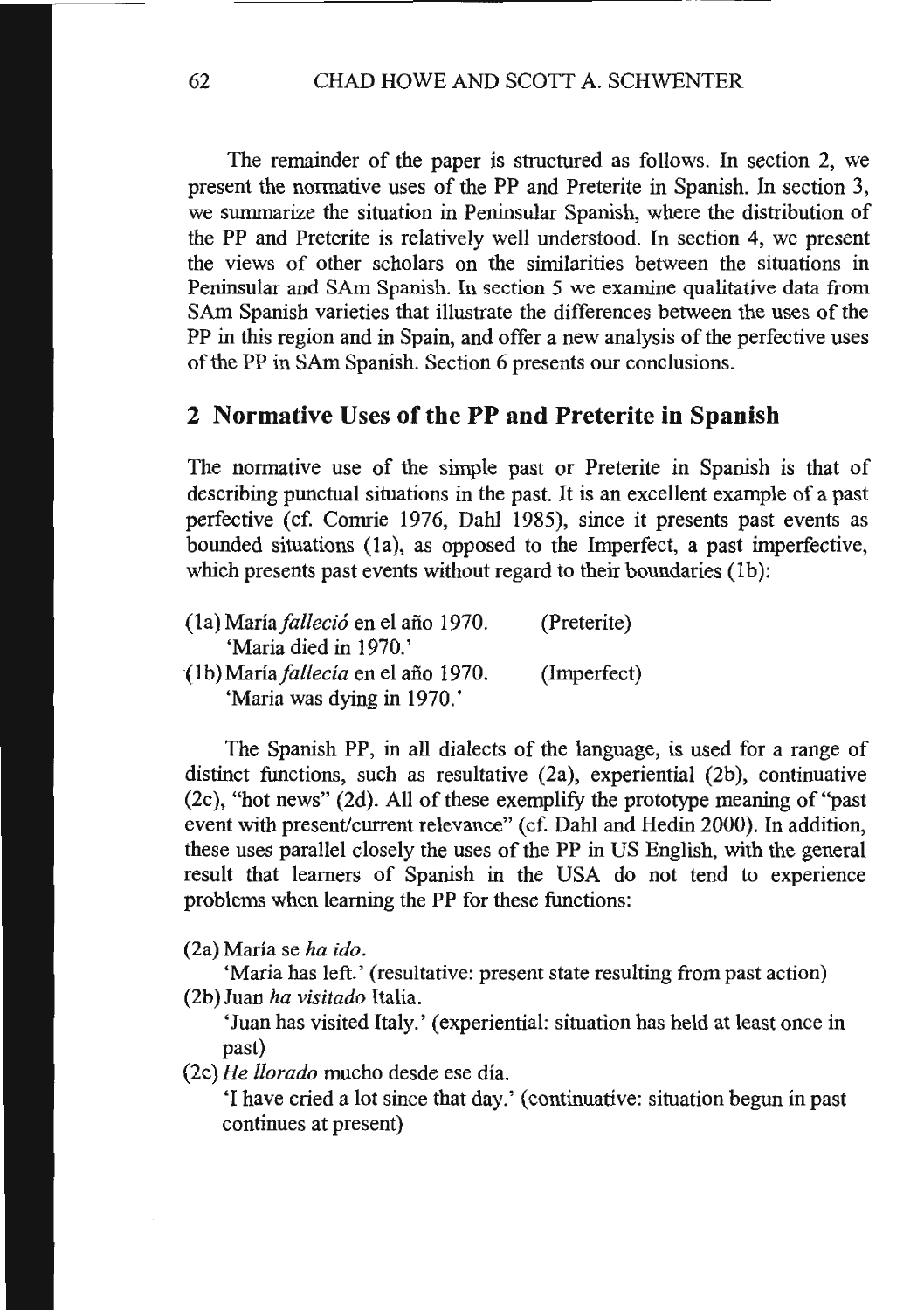The remainder of the paper is structured as follows. In section 2, we present the normative uses of the PP and Preterite in Spanish. In section 3, we surmnarize the situation in Peninsular Spanish, where the distribution of the PP and Preterite is relatively well understood. In section 4, we present the views of other scholars on the similarities between the situations in Peninsular and SAm Spanish. In section 5 we examine qualitative data from SAm Spanish varieties that illustrate the differences between the uses of the PP in this region and in Spain, and offer a new analysis of the perfective uses of the PP in SAm Spanish. Section 6 presents our conclusions.

#### **2 Normative** Uses **of the PP and Preterite in Spanish**

The normative use of the simple past or Preterite in Spanish is that of describing punctual situations in the past. It is an excellent example of a past perfective (cf. Comrie 1976, Dahl 1985), since it presents past events as bounded situations (1a), as opposed to the Imperfect, a past imperfective, which presents past events without regard to their boundaries (1b):

| (1a) María <i>falleció</i> en el año 1970. | (Preterite) |
|--------------------------------------------|-------------|
| 'Maria died in 1970.'                      |             |
| (1b) María <i>fallecía</i> en el año 1970. | (Imperfect) |
| 'Maria was dying in 1970.'                 |             |

The Spanish PP, in all dialects of the language, is used for a range of distinct functions, such as resultative  $(2a)$ , experiential  $(2b)$ , continuative (2c ), "hot news" (2d). All of these exemplify the prototype meaning of "past event with present/current relevance" ( cf. Dahl and Hedin 2000). In addition, these uses parallel closely the uses of the PP in US English, with the general result that learners of Spanish in the USA do not tend to experience problems when learning the PP for these functions:

(2a) Maria se *ha ido.* 

'Maria has left.' (resultative: present state resulting from past action) (2b) Juan *ha visitado* Italia.

'Juan has visited Italy.' (experiential: situation has held at least once in past)

*(2c)He !lorado* mucho desde ese dia.

'I have cried a lot since that day.' (continuative: situation begun in past continues at present)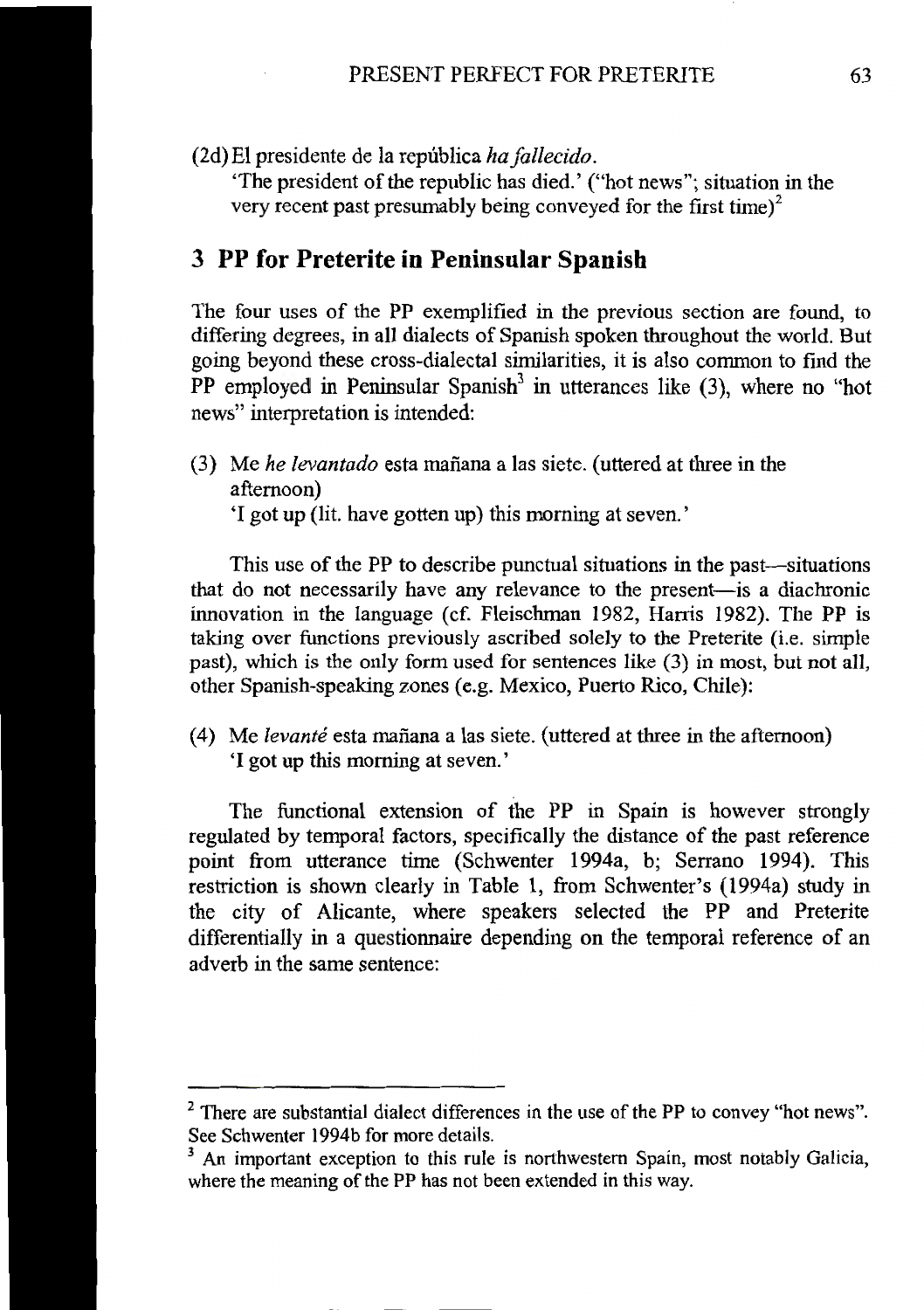(2d)El presidente de la republica *hafallecido.* 

'The president of the republic has died.' ("hot news"; situation in the very recent past presumably being conveyed for the first time) $<sup>2</sup>$ </sup>

#### **3 PP for Preterite in Peninsular Spanish**

The four uses of the PP exemplified in the previous section are found, to differing degrees, in all dialects of Spanish spoken throughout the world. But going beyond these cross-dialectal similarities, it is also common to fmd the PP employed in Peninsular Spanish<sup>3</sup> in utterances like  $(3)$ , where no "hot news" interpretation is intended:

(3) Me *he levantado* esta rnafiana a las siete. (uttered at three in the afternoon) 'I got up (lit. have gotten up) this morning at seven.'

This use of the PP to describe punctual situations in the past—situations that do not necessarily have any relevance to the present-is a diachronic innovation in the language ( cf. Fleischman 1982, Harris 1982). The PP is taking over functions previously ascribed solely to the Preterite (i.e. simple past), which is the only form used for sentences like (3) in most, but not all, other Spanish-speaking zones (e.g. Mexico, Puerto Rico, Chile):

( 4) Me *levante* esta manana a las siete. (uttered at three in the afternoon) 'I got up this morning at seven.'

The functional extension of the PP in Spain is however strongly regulated by temporal factors, specifically the distance of the past reference point from utterance time (Schwenter 1994a, b; Serrano 1994). This restriction is shown clearly in Table 1, from Schwenter's (1994a) study in the city of Alicante, where speakers selected the PP and Preterite differentially in a questionnaire depending on the temporal reference of an adverb in the same sentence:

 $2$  There are substantial dialect differences in the use of the PP to convey "hot news". See Schwenter 1994b for more details.<br><sup>3</sup> An important exception to this rule is northwestern Spain, most notably Galicia,

where the meaning of the PP has not been extended in this way.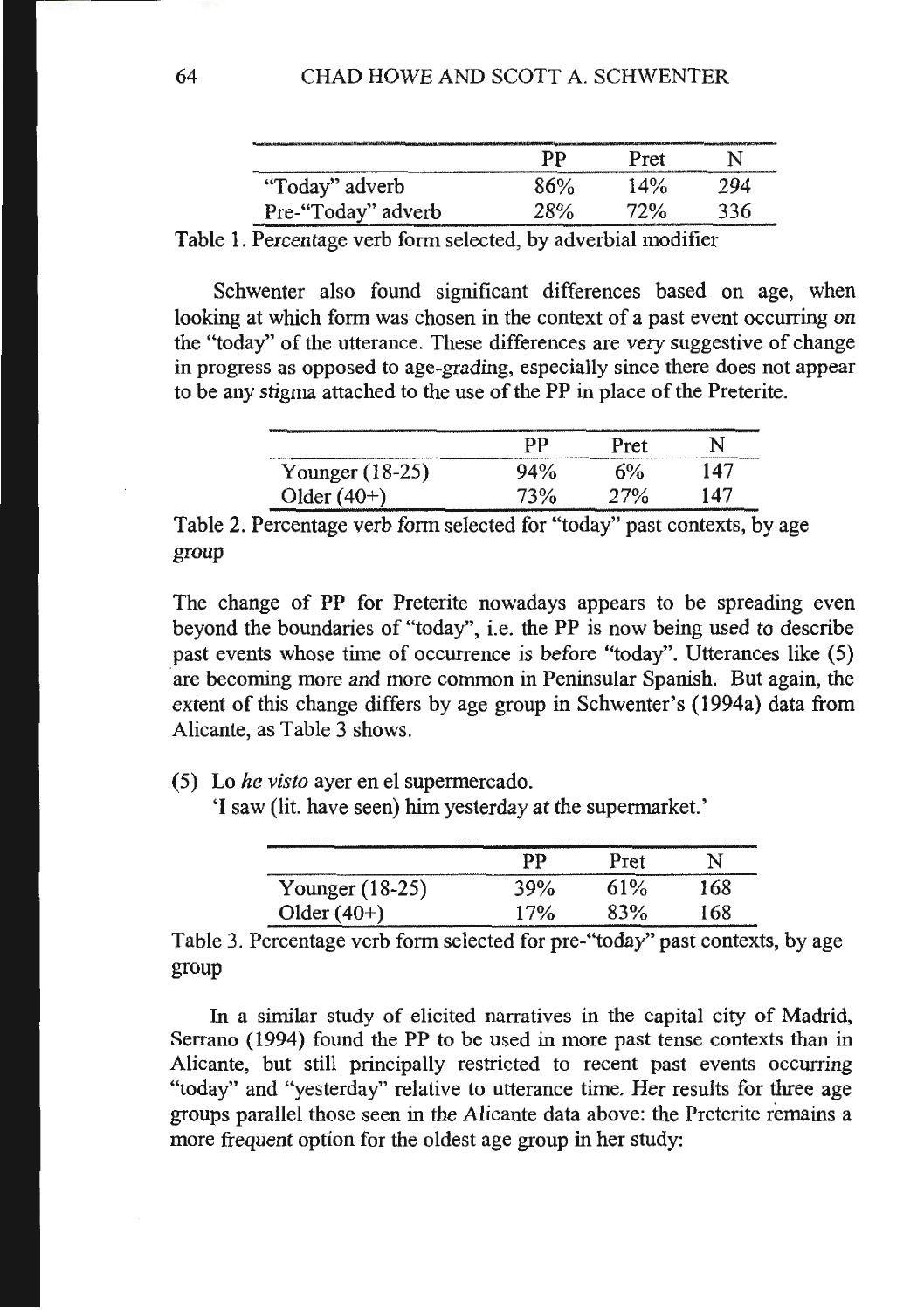|                    | pр                                                   | Pret |     |
|--------------------|------------------------------------------------------|------|-----|
| "Today" adverb     | 86%                                                  | 14%  | 794 |
| Pre-"Today" adverb | <b>28%</b><br>فألبل شاركتهم التقيان ليبيانهم مجردهما | 72%  | 336 |

Table 1. Percentage verb form selected, by adverbial modifier

Schwenter also found significant differences based on age, when looking at which form was chosen in the context of a past event occurring on the "today" of the utterance. These differences are very suggestive of change in progress as opposed to age-grading, especially since there does not appear to be any stigma attached to the use of the PP in place of the Preterite.

|                 | pр     | Pret | N   |
|-----------------|--------|------|-----|
| Younger (18-25) | $94\%$ | 6%   | 147 |
| Older $(40+)$   | 73%    | 27%  | 147 |

Table 2. Percentage verb form selected for "today" past contexts, by age group

The change of PP for Preterite nowadays appears to be spreading even beyond the boundaries of "today", i.e. the PP is now being used to describe past events whose time of occurrence is before "today". Utterances like (5) are becoming more and more common in Peninsular Spanish. But again, the extent of this change differs by age group in Schwenter's (1994a) data from Alicante, as Table 3 shows.

(5) Lo *he visto* ayer en el supermercado.

'I saw (lit. have seen) him yesterday at the supermarket.'

|                 | pр  | Pret | N   |
|-----------------|-----|------|-----|
| Younger (18-25) | 39% | 61%  | 168 |
| Older $(40+)$   | 17% | 83%  | 168 |

Table 3. Percentage verb form selected for pre-"today" past contexts, by age group

In a similar study of elicited narratives in the capital city of Madrid, Serrano ( 1994) found the PP to be used in more past tense contexts than in Alicante, but still principally restricted to recent past events occurring "today" and "yesterday" relative to utterance time. Her results for three age groups parallel those seen in the Alicante data above: the Preterite remains a more frequent option for the oldest age group in her study: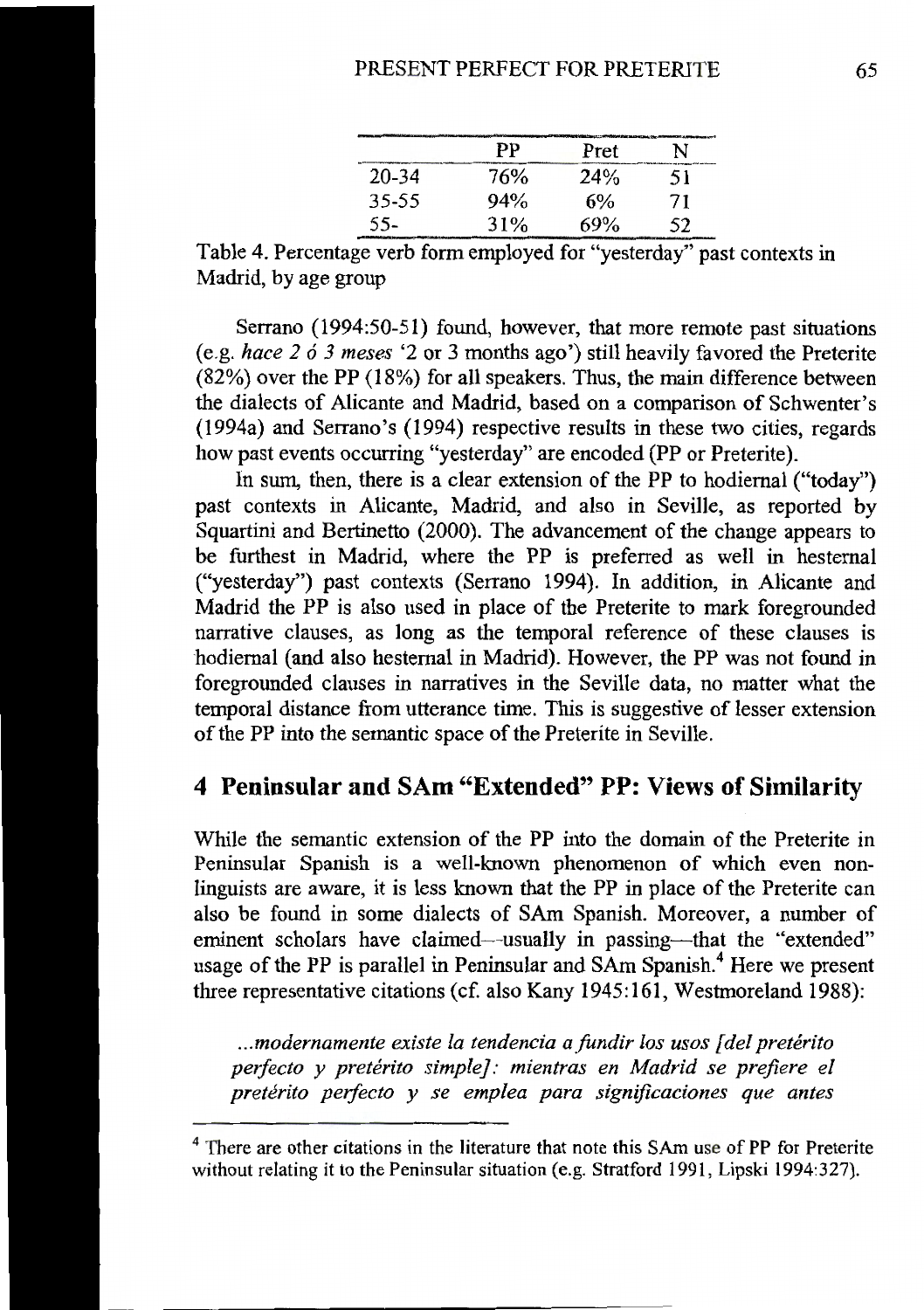|       | РP  | Pret | N  |
|-------|-----|------|----|
| 20-34 | 76% | 24%  | 51 |
| 35-55 | 94% | 6%   | 71 |
| 55-   | 31% | 69%  | 52 |

Table 4. Percentage verb form employed for "yesterday" past contexts in Madrid, by age group

Serrano (1994:50-51) found, however, that more remote past situations (e.g. *hace 2 6 3 meses* '2 or 3 months ago') still heavily favored the Preterite (82%) over the PP (18%) for all speakers. Thus, the main difference between the dialects of Alicante and Madrid, based on a comparison of Schwenter's (1994a) and Serrano's (1994) respective results in these two cities, regards how past events occurring "yesterday" are encoded (PP or Preterite).

In sum, then, there is a clear extension of the PP to hodiemal ("today") past contexts in Alicante, Madrid, and also in Seville, as reported by Squartini and Bertinetto (2000). The advancement of the change appears to be furthest in Madrid, where the PP is preferred as well in hestemal ("yesterday") past contexts (Serrano 1994). In addition, in Alicante and Madrid the PP is also used in place of the Preterite to mark foregrounded narrative clauses, as long as the temporal reference of these clauses is hodiemal (and also hestemal in Madrid). However, the PP was not found in foregrounded clauses in narratives in the Seville data, no matter what the temporal distance from utterance time. This is suggestive of lesser extension of the PP into the semantic space of the Preterite in Seville.

## **4 Peninsular and SAm "Extended" PP: Views of Similarity**

While the semantic extension of the PP into the domain of the Preterite in Peninsular Spanish is a well-known phenomenon of which even nonlinguists are aware, it is less known that the PP in place of the Preterite can also be found in some dialects of SAm Spanish. Moreover, a number of eminent scholars have claimed-usually in passing-that the "extended" usage of the PP is parallel in Peninsular and SAm Spanish.<sup>4</sup> Here we present three representative citations (cf. also Kany 1945:161, Westmoreland 1988):

*... modernamente existe la tendencia a fundir los usos [del preterito perfecto* y *preterito simple): mientras en Madrid se prefiere el preterito perfecto* y *se emplea para significaciones que antes* 

<sup>&</sup>lt;sup>4</sup> There are other citations in the literature that note this SAm use of PP for Preterite without relating it to the Peninsular situation (e.g. Stratford 1991, Lipski 1994:327).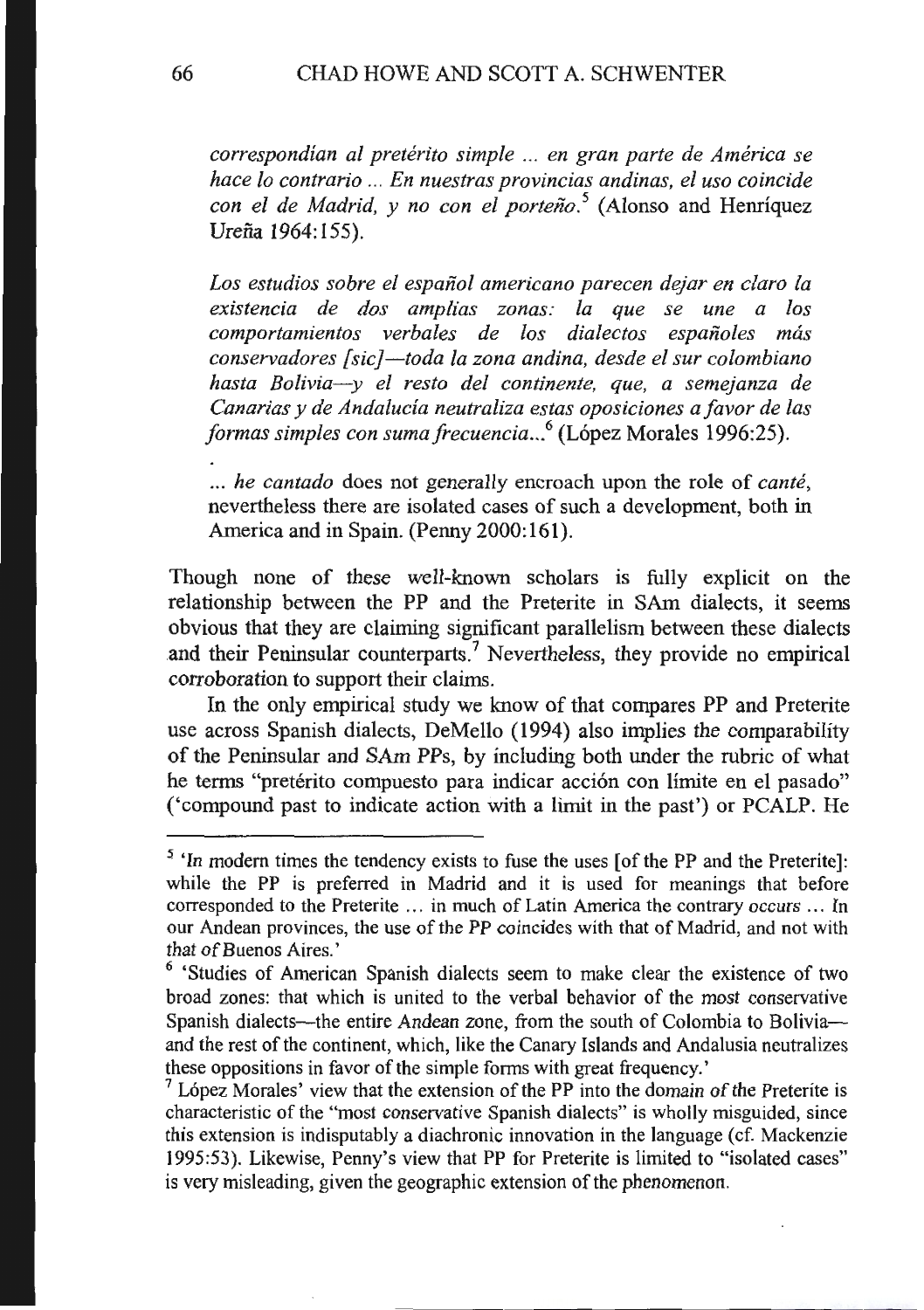*correspondian al preterito simple* ... *en gran parte de America se hace lo contrario* ... *En nuestras provincias andinas, el uso coincide con el de Madrid, y no con el porteiio. <sup>5</sup>*(Alonso and Henriquez Ureña 1964:155).

*Los estudios sabre el espaiiol americana parecen dejar en claro fa existencia de dos amplias zonas: fa que se une a los comportamientos verbales de los dialectos espaiioles mas conservadores [sic}-toda fa zona andina, desde el sur colombiano hasta Bolivia-y el resto del continente, que, a semejanza de Canarias* y *de Andalucia neutraliza estas oposiciones a favor de las*  formas simples con suma frecuencia...<sup>6</sup> (López Morales 1996:25).

.. . *he cantado* does not generally encroach upon the role of *cante,*  nevertheless there are isolated cases of such a development, both in America and in Spain. (Penny 2000:161).

Though none of these well-known scholars is fully explicit on the relationship between the PP and the Preterite in SAm dialects, it seems obvious that they are claiming significant parallelism between these dialects and their Peninsular counterparts.<sup>7</sup> Nevertheless, they provide no empirical corroboration to support their claims.

In the only empirical study we know of that compares PP and Preterite use across Spanish dialects, DeMello ( 1994) also implies the comparability of the Peninsular and SAm PPs, by including both under the rubric of what he terms "pretérito compuesto para indicar acción con límite en el pasado" ('compound past to indicate action With a limit in the past') or PCALP. He

<sup>&</sup>lt;sup>5</sup> 'In modern times the tendency exists to fuse the uses [of the PP and the Preterite]: while the PP is preferred in Madrid and it is used for meanings that before corresponded to the Preterite . . . in much of Latin America the contrary occurs ... In our Andean provinces, the use of the PP coincides with that of Madrid, and not with that of Buenos Aires.'<br><sup>6</sup> 'Studies of American Spanish dialects seem to make clear the existence of two

broad zones: that which is united to the verbal behavior of the most conservative Spanish dialects-the entire Andean zone, from the south of Colombia to Boliviaand the rest of the continent, which, like the Canary Islands and Andalusia neutralizes these oppositions in favor of the simple forms with great frequency.'  $7 \text{ López}$  Morales' view that the extension of the PP into the domain of the Preterite is

characteristic of the "most conservative Spanish dialects" is wholly misguided, since this extension is indisputably a diachronic innovation in the language ( cf. Mackenzie 1995:53). Likewise, Penny's view that PP for Preterite is limited to "isolated cases" is very misleading, given the geographic extension of the phenomenon.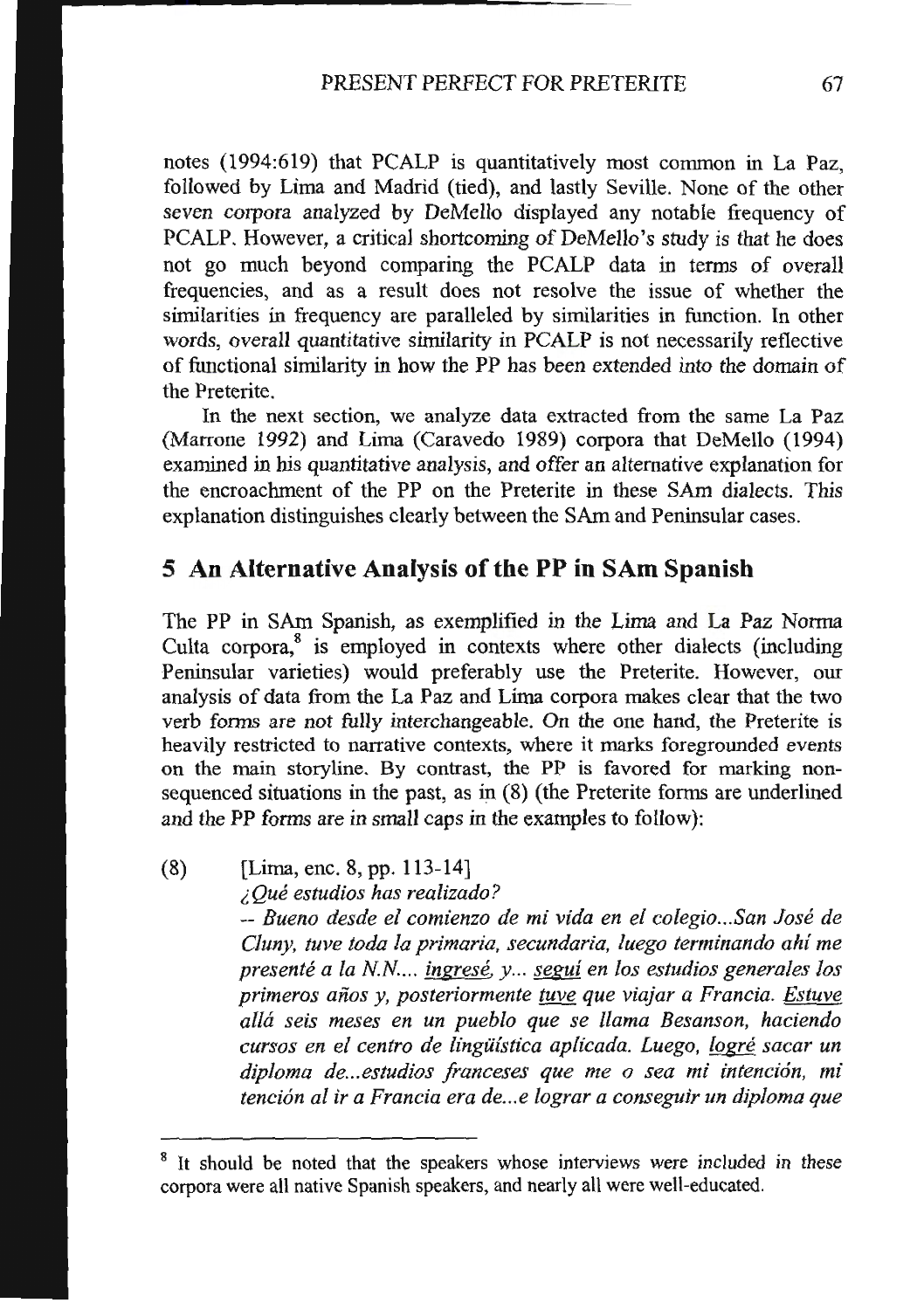notes (1994:619) that PCALP is quantitatively most common in La Paz, followed by Lima and Madrid (tied), and lastly Seville. None of the other seven corpora analyzed by DeMello displayed any notable frequency of PCALP. However, a critical shortcoming of DeMello's study is that he does not go much beyond comparing the PCALP data in terms of overall frequencies, and as a result does not resolve the issue of whether the similarities in frequency are paralleled by similarities in function. In other words, overall quantitative similarity in PCALP is not necessarily reflective of functional similarity in how the PP has been extended into the domain of the Preterite.

In the next section, we analyze data extracted from the same La Paz (Marrone 1992) and Lima (Caravedo 1989) corpora that DeMello (1994) examined in his quantitative analysis, and offer an alternative explanation for the encroachment of the PP on the Preterite in these SAm dialects. This explanation distinguishes clearly between the SAm and Peninsular cases.

## **5 An Alternative Analysis of the PP in SAm Spanish**

The PP in SAm Spanish, as exemplified in the Lima and La Paz Norma Culta corpora,<sup>8</sup> is employed in contexts where other dialects (including Peninsular varieties) would preferably use the Preterite. However, our analysis of data from the La Paz and Lima corpora makes clear that the two verb forms are not fully interchangeable. On the one hand, the Preterite is heavily restricted to narrative contexts, where it marks foregrounded events on the main storyline. By contrast, the PP is favored for marking nonsequenced situations in the past, as in (8) (the Preterite forms are underlined and the PP forms are in small caps in the examples to follow):

(8) [Lima, enc. 8, pp. 113-14] i *Que estudios has realizado?*  -- *Bueno des de el comienzo de mi vida en el colegio ... San Jose de Cluny, tuve toda la primaria, secundaria, fuego terminando ahi me presente a !a N.N... ingrese. y .. . segui en los estudios generales los primeros aiios y, posteriormente tuve que viajar a Francia. Estuve alla seis meses en un pueblo que se llama Besanson, hacienda cursos en el centro de lingiiistica aplicada. Luego, !ogre sacar un*  diploma de... estudios franceses que me o sea mi intención, mi *tenci6n al ira Francia era de ... e lograr a conseguir un diploma que* 

It should be noted that the speakers whose interviews were included in these corpora were all native Spanish speakers, and nearly all were well-educated.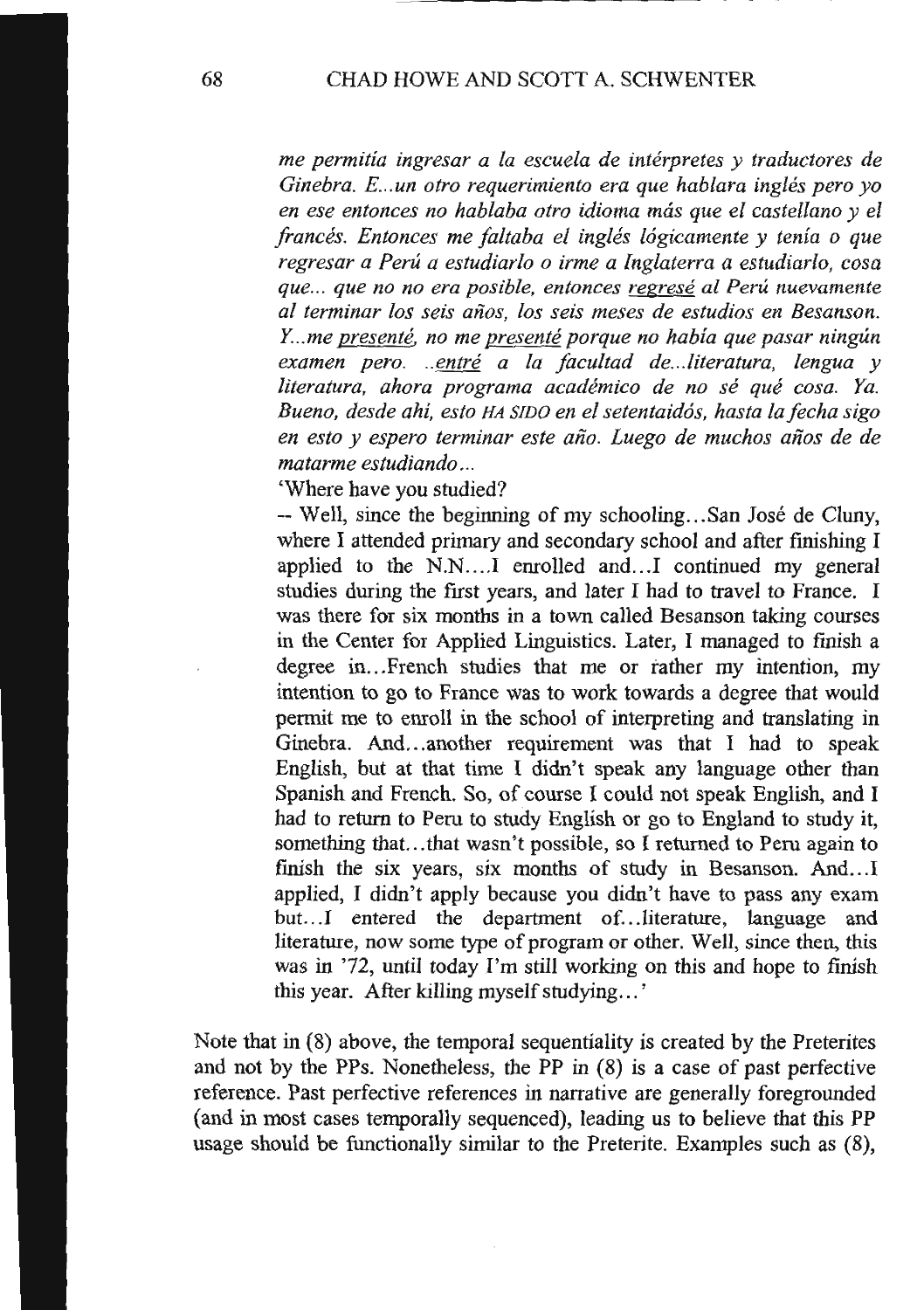*me permitia ingresar a la escuela de interpretes y traductores de Ginebra. E ... un otro requerimiento era que hablara ingles pero yo en ese entonces no hablaba otro idioma mas que el castellano y el frances. Entonces me faltaba el ingles l6gicamente y tenia o que regresar a Peru a estudiarlo o irme a Inglaterra a estudiarlo, cosa que ... que no no era posible, entonces regrese al Peru nuevamente al terminar los seis aiios, los seis meses de estudios en Besanson. Y .. me presente. no me presente porque no habia que pasar ningun examen pero. ..entre a Ia facultad de ... literatura, lengua y literatura, ahora programa academico de no se que cosa. Ya. Bueno, des de ahi, esto HA SIDO en el setentaid6s, hasta la fecha sigo*  en esto y espero terminar este año. Luego de muchos años de de *matarme estudiando ...* 

'Where have you studied?

-- Well, since the beginning of my schooling ... San Jose de Cluny, where I attended primary and secondary school and after finishing I applied to the N.N....I enrolled and...I continued my general studies during the first years, and later I had to travel to France. I was there for six months in a town called Besanson taking courses in the Center for Applied Linguistics. Later, I managed to fmish a degree in... French studies that me or rather my intention, my intention to go to France was to work towards a degree that would permit me to enroll in the school of interpreting and translating in Ginebra. And ... another requirement was that I had to speak English, but at that time I didn't speak any language other than Spanish and French. So, of course I could not speak English, and I had to return to Peru to study English or go to England to study it, something that. .. that wasn't possible, so I returned to Peru again to finish the six years, six months of study in Besanson. And...I applied, I didn't apply because you didn't have to pass any exam but...I entered the department of...literature, language and literature, now some type of program or other. Well, since then, this was in '72, until today I'm still working on this and hope to finish this year. After killing myself studying ... '

Note that in (8) above, the temporal sequentiality is created by the Preterites and not by the PPs. Nonetheless, the PP in (8) is a case of past perfective reference. Past perfective references in narrative are generally foregrounded (and in most cases temporally sequenced), leading us to believe that this PP usage should be functionally similar to the Preterite. Examples such as (8),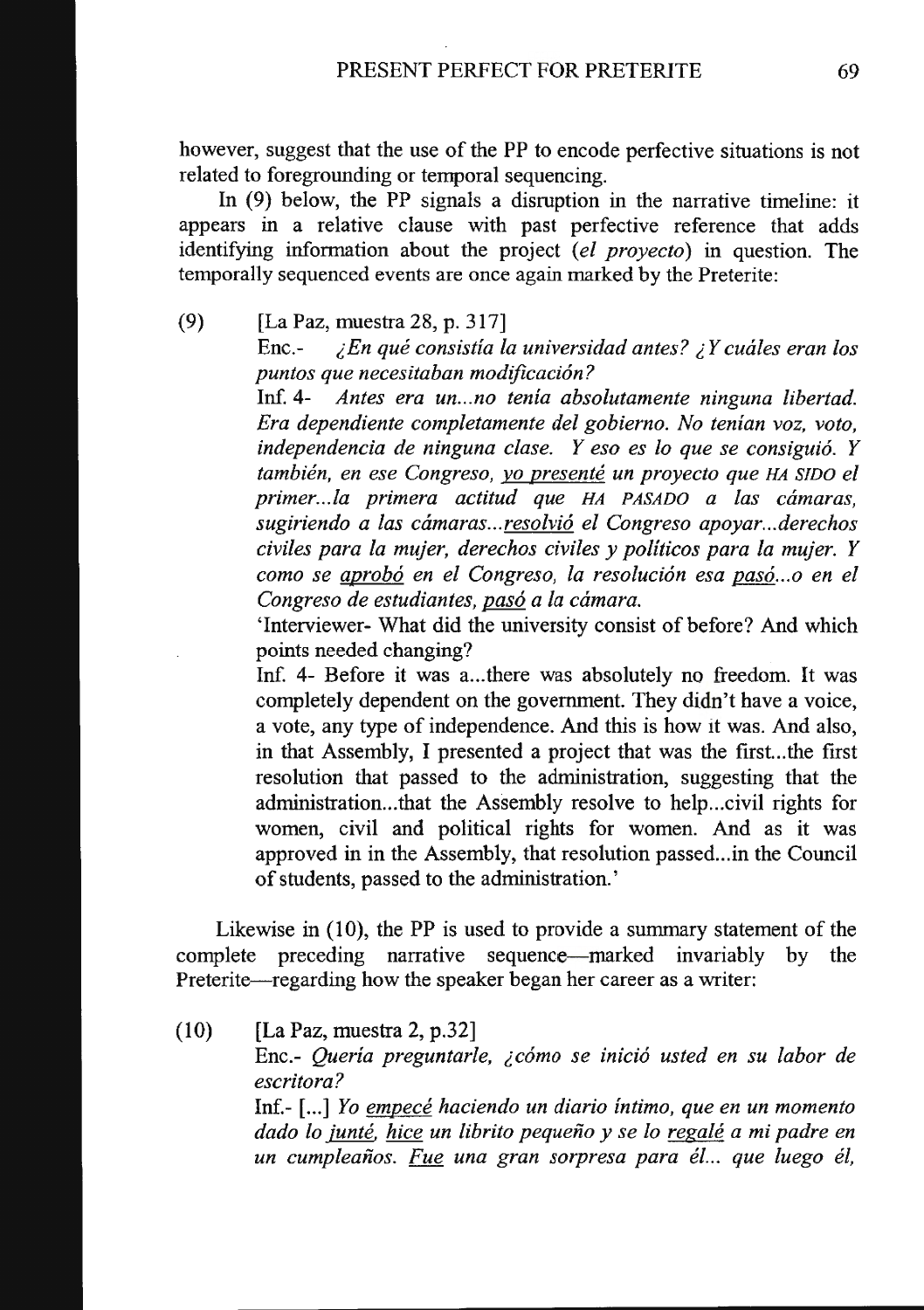however, suggest that the use of the PP to encode perfective situations is not related to foregrounding or temporal sequencing.

In (9) below, the PP signals a disruption in the narrative timeline: it appears in a relative clause with past perfective reference that adds identifying information about the project *(el proyecto)* in question. The temporally sequenced events are once again marked by the Preterite:

(9) [La Paz, muestra 28, p. 317]

Enc.- *;,En que consistia !a universidad antes?;, Y cuales eran los puntos que necesitaban modificacion?* 

Inf. 4- *Antes era un ... no tenia absolutamente ninguna libertad. Era dependiente completamente del gobierno. No tenian voz, voto, independencia de ninguna clase. Y eso es lo que se consiguio. Y tambien, en ese Congreso, yo presente un proyecto que HA SIDO el primer ... fa primera actitud que HA PASADO a las camaras, sugiriendo a las camaras ... resolvio el Congreso apoyar ... derechos civiles para !a mujer, derechos civiles y politicos para !a mujer. Y como se aprobo en el Congreso, Ia resolucion esa paso ... o en el Congreso de estudiantes, paso a Ia camara.* 

'Interviewer- What did the university consist of before? And which points needed changing?

Inf. 4- Before it was a...there was absolutely no freedom. It was completely dependent on the government. They didn't have a voice, a vote, any type of independence. And this is how it was. And also, in that Assembly, I presented a project that was the frrst...the first resolution that passed to the administration, suggesting that the administration...that the Assembly resolve to help... civil rights for women, civil and political rights for women. And as it was approved in in the Assembly, that resolution passed...in the Council of students, passed to the administration.'

Likewise in (10), the PP is used to provide a summary statement of the complete preceding narrative sequence-marked invariably by the Preterite-regarding how the speaker began her career as a writer:

(10) [La Paz, muestra 2, p.32]

Enc.- Queria preguntarle, ¿cómo se inició usted en su labor de *escritora?* 

Inf.- [ ... ] *Yo empece hacienda un diario intimo, que en un momento dado lo junte. hice un librito pequeiio y se lo regale a mi padre en un cumpleaiios. Fue una gran sorpresa para el... que fuego el,*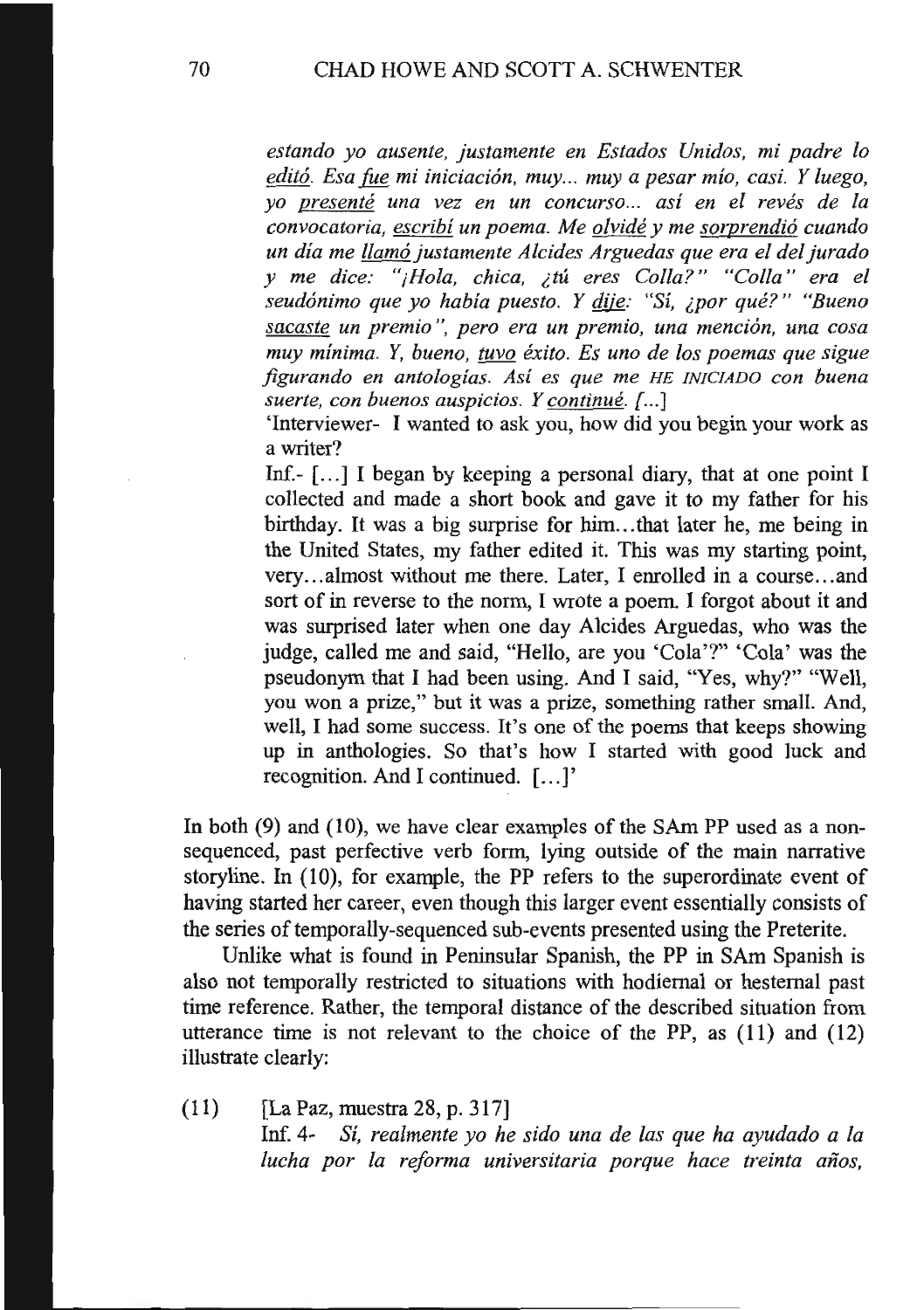*estando yo ausente, justamente en Estados Unidos, mi padre lo*  editó. Esa *fue mi iniciación, muy... muy a pesar mío, casi. Y luego, yo presente una vez en un concurso... asi en el reves de fa convocatoria, escribi un poema. Me olvide y me sorprendi6 cuando un dia me llam6 justamente Alcides Arguedas que era el del Jurado y me dice: "jHola, chica, ilU eres Colla?" "Colla" era el seud6nimo que yo habia puesto. Y* flijg: *"Sf, iPOr que?" "Bueno sacaste un premio* ", *pero era un premio, una menci6n, una cosa muy minima.* Y, *buena, tuvo exito. Es uno de los poemas que sigue jigurando en antologias. Asi es que me HE INICIADO con buena*  suerte, con buenos auspicios. Y continué. [...]

'Interviewer- I wanted to ask you, how did you begin your work as a writer?

Inf.-  $[...]$  I began by keeping a personal diary, that at one point I collected and made a short book and gave it to my father for his birthday. It was a big surprise for him ... that later he, me being in the United States, my father edited it. This was my starting point, very ... almost without me there. Later, I enrolled in a course ... and sort of in reverse to the norm, I wrote a poem. I forgot about it and was surprised later when one day Alcides Arguedas, who was the judge, called me and said, "Hello, are you 'Cola'?" 'Cola' was the pseudonym that I had been using. And I said, "Yes, why?" "Well, you won a prize," but it was a prize, something rather small. And, well, I had some success. It's one of the poems that keeps showing up in anthologies. So that's how I started with good luck and recognition. And I continued. [...]'

In both (9) and (10), we have clear examples of the SAm PP used as a nonsequenced, past perfective verb form, lying outside of the main narrative storyline. In (10), for example, the PP refers to the superordinate event of having started her career, even though this larger event essentially consists of the series of temporally-sequenced sub-events presented using the Preterite.

Unlike what is found in Peninsular Spanish, the PP in SAm Spanish is also not temporally restricted to situations with hodiemal or hestemal past time reference. Rather, the temporal distance of the described situation from utterance time is not relevant to the choice of the PP, as (11) and (12) illustrate clearly:

(11) [La Paz, muestra 28, p. 317] lnf. 4- *Si, realmente yo he sido una de las que ha ayudado a fa lucha por la reforma universitaria porque hace treinta afios,*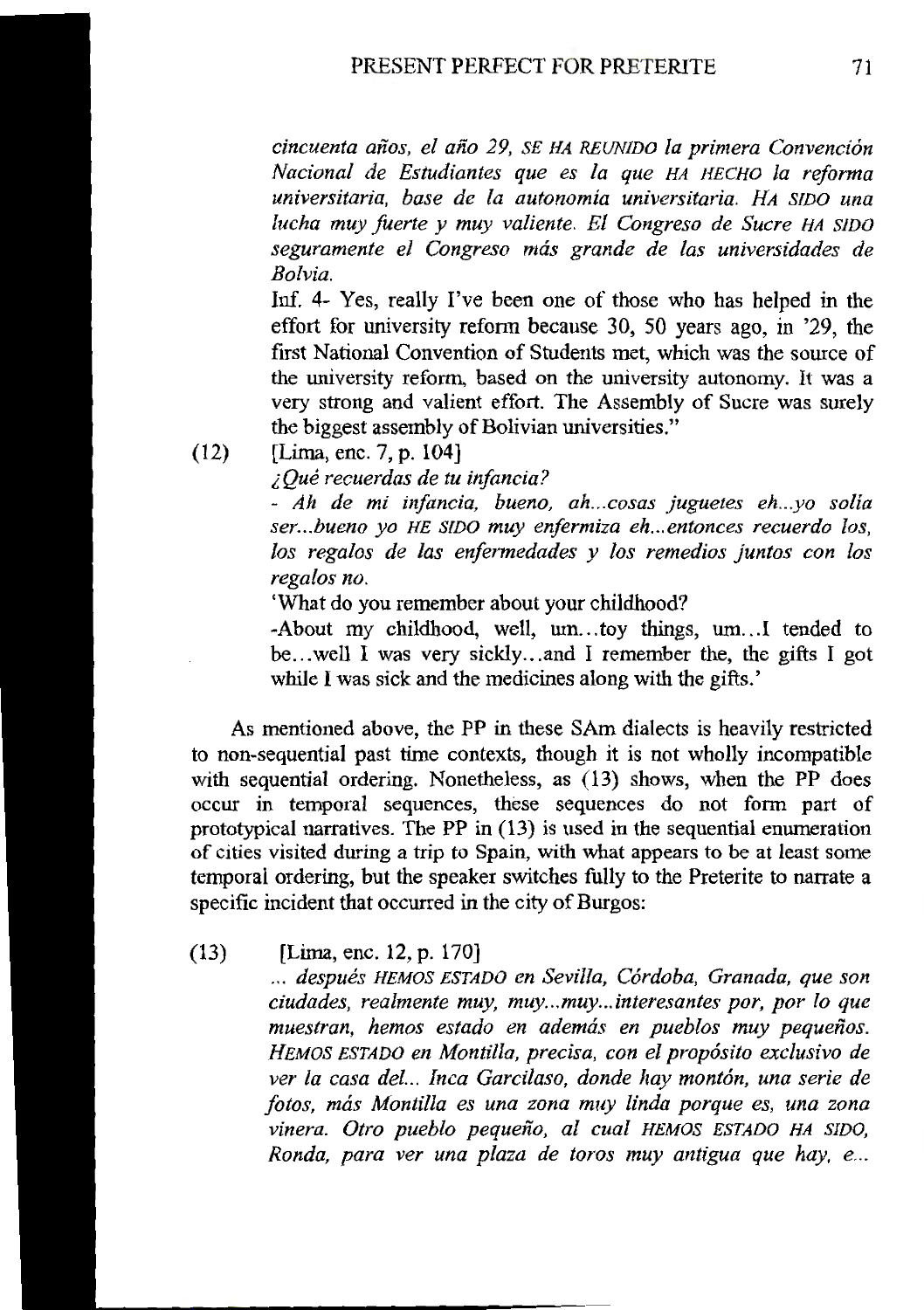*cincuenta aiios, el aiio 29, SE HA REUNIDO Ia primera Convenci6n Nacional de Estudiantes que es Ia que HA HECHO Ia reforma universitaria, base de Ia autonomia universitaria. HA SIDO una lucha muy fuerte y muy valiente. El Congreso de Sucre HA SIDO seguramente el Congreso mas grande de las universidades de Bolvia.* 

Inf. 4- Yes, really I've been one of those who has helped in the effort for university reform because 30, 50 years ago, in '29, the frrst National Convention of Students met, which was the source of the university reform, based on the university autonomy. It was a very strong and valient effort. The Assembly of Sucre was surely the biggest assembly of Bolivian universities."

(12) [Lima, enc. 7, p. 104]

*i Que recuerdas de tu infancia?* 

- *Ah de mi infancia, bueno, ah ... cosas juguetes eh ... yo solia ser ... bueno yo HE SIDO muy enfermiza eh ... entonces recuerdo los, los regalos de las enfermedades y los remedios juntos con los regalos no.* 

'What do you remember about your childhood?

-About my childhood, well, um...toy things, um...I tended to be ... well I was very sickly ... and I remember the, the gifts I got while I was sick and the medicines along with the gifts.'

As mentioned above, the PP in these SAm dialects is heavily restricted to non-sequential past time contexts, though it is not wholly incompatible with sequential ordering. Nonetheless, as (13) shows, when the PP does occur in temporal sequences, these sequences do not form part of prototypical narratives. The PP in (13) is used in the sequential enumeration of cities visited during a trip to Spain, with what appears to be at least some temporal ordering, but the speaker switches fully to the Preterite to narrate a specific incident that occurred in the city of Burgos:

(13) [Lima, enc. 12, p. 170]

... después HEMOS ESTADO en Sevilla, Córdoba, Granada, que son *ciudades, realmente muy, muy ... muy ... interesantes por, por lo que*  muestran, hemos estado en además en pueblos muy pequeños. *HEMOS ESTADO en Mantilla, precisa, con el prop6sito exclusivo de*  ver la casa del... Inca Garcilaso, donde hay montón, una serie de *fotos, mas Mantilla es una zona muy linda porque es, una zona*  vinera. Otro pueblo pequeño, al cual HEMOS ESTADO HA SIDO, *Ronda, para ver una plaza de toros muy antigua que hay, e ...*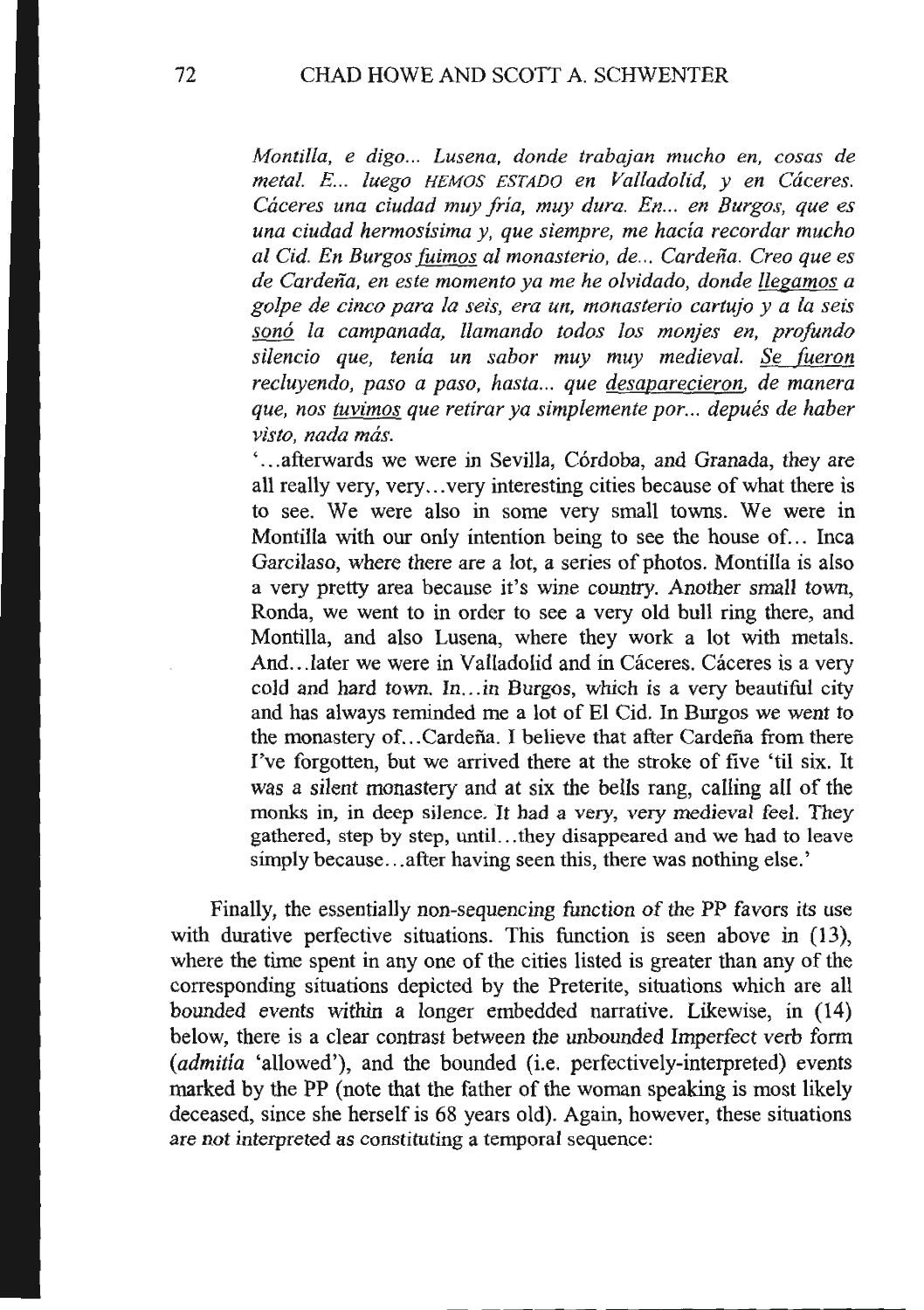*Montilla, e digo... Lusena, donde trabajan mucho en, cosas de metal. E. .. luega HEMOS ESTADO en Valladolid, y en Caceres. Caceres una ciudad muy fria, muy dura. En... en Burgos, que es una ciudad hermosisima y, que siempre, me hacia recordar mucho a/ Cid. En Burgos (uimos a! monasterio, de ... Cardeiia. Creo que es de Cardeiia, en este momenta ya me he olvidada, donde llegamos a golpe de cinco para Ia seis, era un, monasterio cartujo y a Ia seis son6 Ia campanada, llamando todos los monjes en, profunda silencio que, tenia un sabor muy muy medieval. Se (ueron*  recluyendo, paso a paso, hasta... que <u>desaparecieron</u>, de manera *que, nos tuvimos que retirar ya simplemente por ... depues de haber visto, nada mas.* 

... afterwards we were in Sevilla, Córdoba, and Granada, they are all really very, very ... very interesting cities because of what there is to see. We were also in some very small towns. We were in Montilla with our only intention being to see the house of... Inca Garcilaso, where there are a lot, a series of photos. Montilla is also a very pretty area because it's wine country. Another small town, Ronda, we went to in order to see a very old bull ring there, and Montilla, and also Lusena, where they work a lot with metals. And...later we were in Valladolid and in Cáceres. Cáceres is a very cold and hard town. In... in Burgos, which is a very beautiful city and has always reminded me a lot of El Cid. In Burgos we went to the monastery of... Cardeña. I believe that after Cardeña from there I've forgotten, but we arrived there at the stroke of five 'til six. It was a silent monastery and at six the bells rang, calling all of the monks in, in deep silence. It had a very, very medieval feel. They gathered, step by step, until. .. they disappeared and we had to leave simply because... after having seen this, there was nothing else.'

Finally, the essentially non-sequencing function of the PP favors its use with durative perfective situations. This function is seen above in (13), where the time spent in any one of the cities listed is greater than any of the corresponding situations depicted by the Preterite, situations which are all bounded events within a longer embedded narrative. Likewise, in (14) below, there is a clear contrast between the unbounded Imperfect verb form *(admitia* 'allowed'), and the bounded (i.e. perfectively-interpreted) events marked by the PP (note that the father of the woman speaking is most likely deceased, since she herself is 68 years old). Again, however, these situations are not interpreted as constituting a temporal sequence: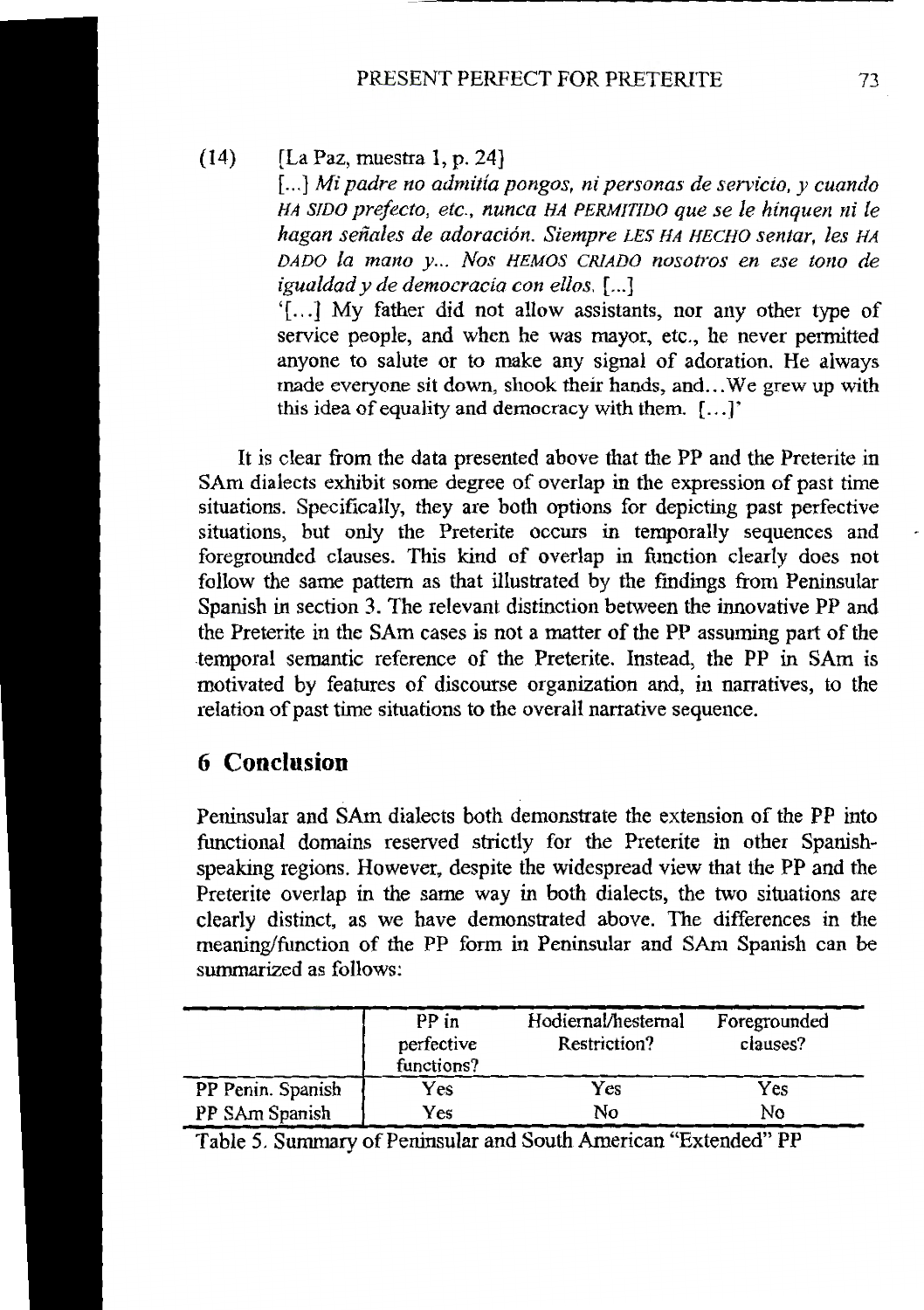(14) [La Paz, muestra 1, p. 24]

[...] Mi padre no admitía pongos, ni personas de servicio, y cuando *HA SIDO prefecto, etc., nunca HA PERMIT/DO que se le hinquen nile hagan seiiales de adoraci6n. Siempre LES HA HECHO sentar, les HA*  DADO la mano y... Nos HEMOS CRIADO nosotros en ese tono de *igualdad y de democracia con ellos.* [ ... ]

'[ ... ] My father did not allow assistants, nor any other type of service people, and when he was mayor, etc., he never permitted anyone to salute or to make any signal of adoration. He always made everyone sit down, shook their hands, and ... We grew up with this idea of equality and democracy with them. [ ... ]'

It is clear from the data presented above that the PP and the Preterite in SAm dialects exhibit some degree of overlap in the expression of past time situations. Specifically, they are both options for depicting past perfective situations, but only the Preterite occurs in temporally sequences and foregrounded clauses. This kind of overlap in function clearly does not follow the same pattern as that illustrated by the fmdings from Peninsular Spanish in section 3. The relevant distinction between the innovative PP and the Preterite in the SAm cases is not a matter of the PP assuming part of the temporal semantic reference of the Preterite. Instead, the PP in SAm is motivated by features of discourse organization and, in narratives, to the relation of past time situations to the overall narrative sequence.

## **6 Conclusion**

Peninsular and SAm dialects both demonstrate the extension of the PP into functional domains reserved strictly for the Preterite in other Spanishspeaking regions. However, despite the widespread view that the PP and the Preterite overlap in the same way in both dialects, the two situations are clearly distinct, as we have demonstrated above. The differences in the meaning/function of the PP form in Peninsular and SAm Spanish can be summarized as follows:

|                   | PP in<br>perfective<br>functions? | Hodiernal/hesternal<br>Restriction? | Foregrounded<br>clauses? |
|-------------------|-----------------------------------|-------------------------------------|--------------------------|
| PP Penin. Spanish | Yes                               | Yes                                 | Yes                      |
| PP SAm Spanish    | Yes                               | No                                  | No                       |

Table 5. Summary of Peninsular and South American "Extended" PP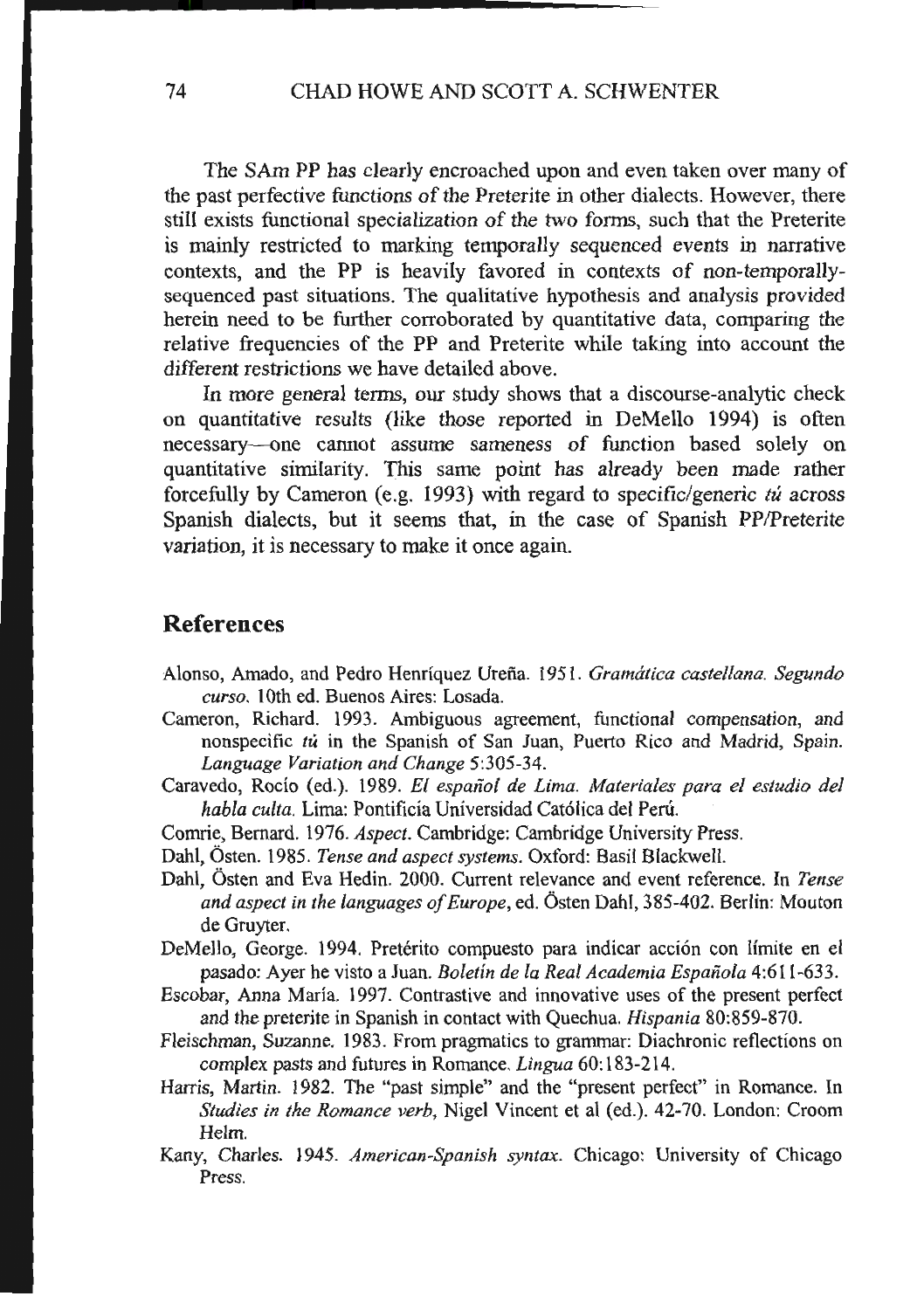The SAm PP has clearly encroached upon and even taken over many of the past perfective functions of the Preterite in other dialects. However, there still exists functional specialization of the two forms, such that the Preterite is mainly restricted to marking temporally sequenced events in narrative contexts, and the PP is heavily favored in contexts of non-temporallysequenced past situations. The qualitative hypothesis and analysis provided herein need to be further corroborated by quantitative data, comparing the relative frequencies of the PP and Preterite while taking into account the different restrictions we have detailed above.

In more general terms, our study shows that a discourse-analytic check on quantitative results (like those reported in DeMello 1994) is often necessary--one cannot assume sameness of function based solely on quantitative similarity. This same point has already been made rather forcefully by Cameron (e.g. 1993) with regard to specific/generic *tu* across Spanish dialects, but it seems that, in the case of Spanish PP/Preterite variation, it is necessary to make it once again.

#### **References**

- Alonso, Amado, and Pedro Henriquez Urefia. 1951. *Gramatica castellana. Segundo cur so.* 1Oth ed. Buenos Aires: Losada.
- Cameron, Richard. 1993. Ambiguous agreement, functional compensation, and nonspecific *tu* in the Spanish of San Juan, Puerto Rico and Madrid, Spain. *Language Variation and Change* 5:305-34.
- Caravedo, Rocio (ed.). 1989. *El espafiol de Lima. Materiales para el estudio del habla culta.* Lima: Pontificia Universidad Cat6lica del Peru.
- Comrie, Bernard. 1976. *Aspect.* Cambridge: Cambridge University Press.
- Dahl, Osten. 1985. *Tense and aspect systems.* Oxford: Basil Blackwell.
- Dahl, Osten and Eva Hedin. 2000. Current relevance and event reference. In *Tense and aspect in the languages of Europe,* ed. Osten Dahl, 385-402. Berlin: Mouton de Gruyter.
- DeMello, George. 1994. Pretérito compuesto para indicar acción con límite en el pasado: Ayer he visto a Juan. *Boletin de Ia Real Academia Espanola* 4:611-633.
- Escobar, Anna Maria. 1997. Contrastive and innovative uses of the present perfect and the preterite in Spanish in contact with Quechua. *Hispania* 80:859-870.
- Fleischman, Suzanne. 1983. From pragmatics to grammar: Diachronic reflections on complex pasts and futures in Romance. *Lingua* 60: 183-214.
- Harris, Martin. 1982. The "past simple" and the "present perfect" in Romance. In *Studies in the Romance verb*, Nigel Vincent et al (ed.). 42-70. London: Croom Helm.
- Kany, Charles. 1945. *American-Spanish syntax.* Chicago: University of Chicago Press.